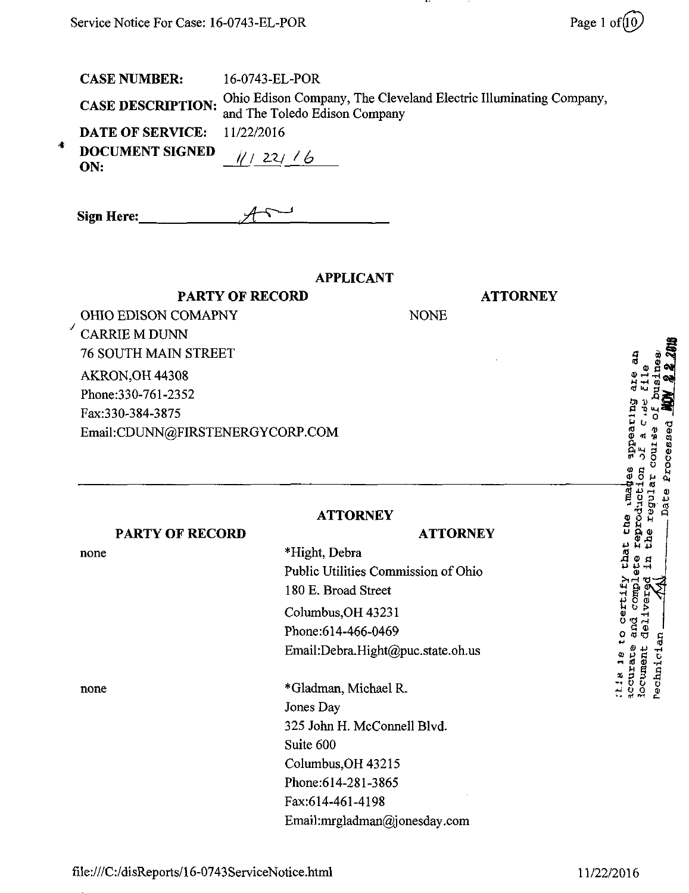|           | <b>CASE NUMBER:</b>           | 16-0743-EL-POR                                                                                     |
|-----------|-------------------------------|----------------------------------------------------------------------------------------------------|
|           | <b>CASE DESCRIPTION:</b>      | Ohio Edison Company, The Cleveland Electric Illuminating Company,<br>and The Toledo Edison Company |
|           | <b>DATE OF SERVICE:</b>       | 11/22/2016                                                                                         |
| 4         | <b>DOCUMENT SIGNED</b><br>ON: | $\frac{7}{6}$<br>22/                                                                               |
|           | <b>Sign Here:</b>             |                                                                                                    |
| APPLICANT |                               |                                                                                                    |

| <b>PARTY OF RECORD</b>          |      | <b>ATTORNEY</b> |
|---------------------------------|------|-----------------|
| <b>OHIO EDISON COMAPNY</b>      | NONE |                 |
| <b>CARRIE M DUNN</b>            |      |                 |
| <b>76 SOUTH MAIN STREET</b>     |      |                 |
| <b>AKRON, OH 44308</b>          |      |                 |
| Phone: 330-761-2352             |      |                 |
| Fax:330-384-3875                |      |                 |
| Email:CDUNN@FIRSTENERGYCORP.COM |      |                 |
|                                 |      |                 |

## **ATTORNEY**

\*Hight, Debra

180 E. Broad Street

**ATTORNEY** 

| <b>PARTY OF RECORD</b> |
|------------------------|
|------------------------|

none

none

Columbus,OH 43231 Phone:614-466-0469 Email:[Debra.Hight@puc.state.oh.us](mailto:Debra.Hight@puc.state.oh.us)  \*Gladman, Michael R. Jones Day 325 John H. McConnell Blvd. Suite 600 Columbus,OH 43215 Phone:614-281-3865 Fax:614-461-4198

Public Utilities Commission of Ohio

## Email:[mrgladman@jonesday.com](mailto:mrgladman@jonesday.com)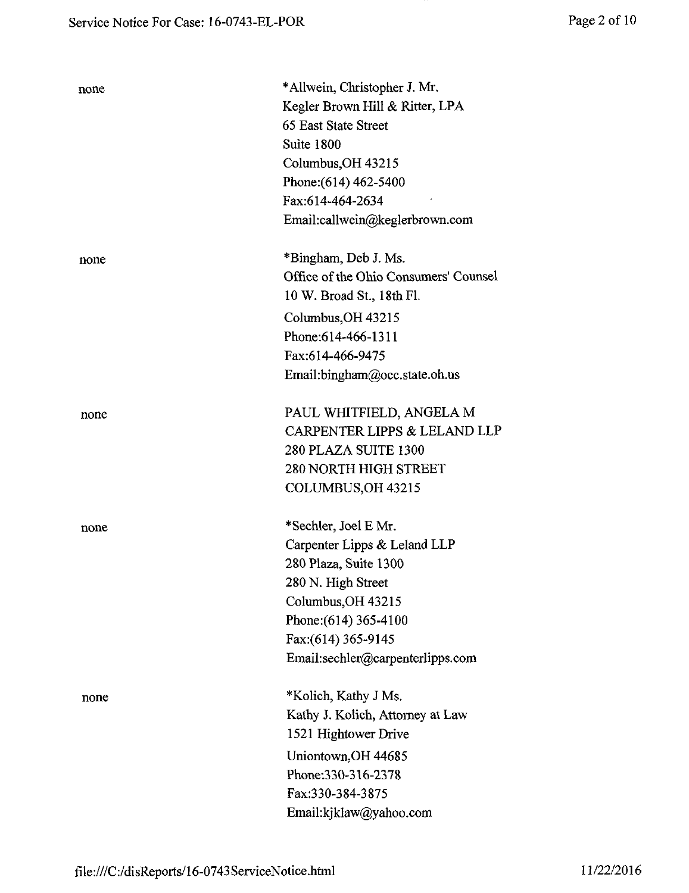| none | *Allwein, Christopher J. Mr.          |
|------|---------------------------------------|
|      | Kegler Brown Hill & Ritter, LPA       |
|      | 65 East State Street                  |
|      | Suite 1800                            |
|      | Columbus, OH 43215                    |
|      | Phone: (614) 462-5400                 |
|      | Fax:614-464-2634                      |
|      | Email:callwein@keglerbrown.com        |
| none | *Bingham, Deb J. Ms.                  |
|      | Office of the Ohio Consumers' Counsel |
|      | 10 W. Broad St., 18th Fl.             |
|      | Columbus, OH 43215                    |
|      | Phone: 614-466-1311                   |
|      | Fax:614-466-9475                      |
|      | Email:bingham@occ.state.oh.us         |
| none | PAUL WHITFIELD, ANGELA M              |
|      | CARPENTER LIPPS & LELAND LLP          |
|      | 280 PLAZA SUITE 1300                  |
|      | <b>280 NORTH HIGH STREET</b>          |
|      | COLUMBUS, OH 43215                    |
| none | *Sechler, Joel E Mr.                  |
|      | Carpenter Lipps & Leland LLP          |
|      | 280 Plaza, Suite 1300                 |
|      | 280 N. High Street                    |
|      | Columbus, OH 43215                    |
|      | Phone: $(614)$ 365-4100               |
|      | Fax:(614) 365-9145                    |
|      | Email:sechler@carpenterlipps.com      |
| none | *Kolich, Kathy J Ms.                  |
|      | Kathy J. Kolich, Attorney at Law      |
|      | 1521 Hightower Drive                  |
|      | Uniontown, OH 44685                   |
|      | Phone: 330-316-2378                   |
|      | Fax:330-384-3875                      |
|      | Email:kjklaw@yahoo.com                |
|      |                                       |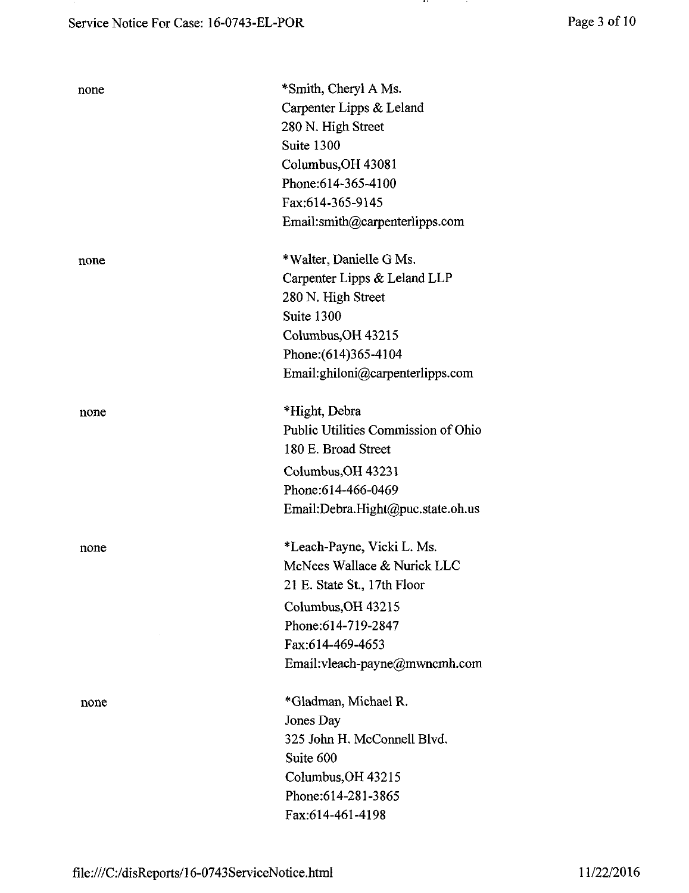$\cdots$ 

| none | *Smith, Cheryl A Ms.<br>Carpenter Lipps & Leland<br>280 N. High Street<br>Suite 1300<br>Columbus, OH 43081<br>Phone: 614-365-4100<br>Fax:614-365-9145<br>Email:smith@carpenterlipps.com    |
|------|--------------------------------------------------------------------------------------------------------------------------------------------------------------------------------------------|
| none | *Walter, Danielle G Ms.<br>Carpenter Lipps & Leland LLP<br>280 N. High Street<br>Suite 1300<br>Columbus, OH 43215<br>Phone: (614) 365-4104<br>Email:ghiloni@carpenterlipps.com             |
| none | *Hight, Debra<br>Public Utilities Commission of Ohio<br>180 E. Broad Street<br>Columbus, OH 43231<br>Phone: 614-466-0469<br>Email:Debra.Hight@puc.state.oh.us                              |
| none | *Leach-Payne, Vicki L. Ms.<br>McNees Wallace & Nurick LLC<br>21 E. State St., 17th Floor<br>Columbus, OH 43215<br>Phone: 614-719-2847<br>Fax:614-469-4653<br>Email:vleach-payne@mwncmh.com |
| none | *Gladman, Michael R.<br>Jones Day<br>325 John H. McConnell Blvd.<br>Suite 600<br>Columbus, OH 43215<br>Phone: 614-281-3865<br>Fax:614-461-4198                                             |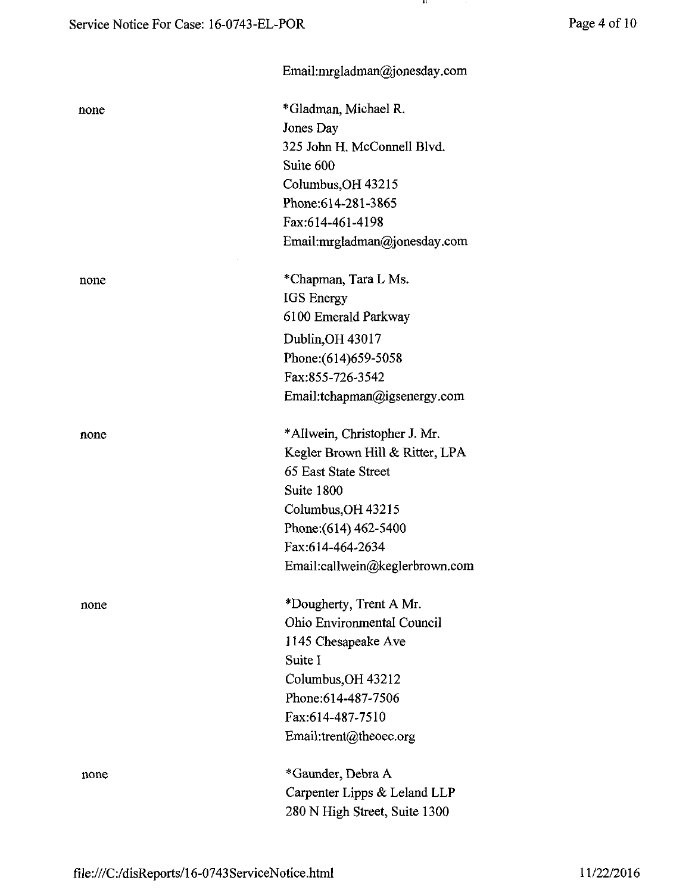. . .

|      | Email:mrgladman@jonesday.com    |
|------|---------------------------------|
| none | *Gladman, Michael R.            |
|      | Jones Day                       |
|      | 325 John H, McConnell Blvd.     |
|      | Suite 600                       |
|      | Columbus, OH 43215              |
|      | Phone: 614-281-3865             |
|      | Fax:614-461-4198                |
|      | Email:mrgladman@jonesday.com    |
| none | *Chapman, Tara L Ms.            |
|      | <b>IGS</b> Energy               |
|      | 6100 Emerald Parkway            |
|      | Dublin, OH 43017                |
|      | Phone: (614) 659-5058           |
|      | Fax:855-726-3542                |
|      | Email:tchapman@igsenergy.com    |
| none | *Allwein, Christopher J. Mr.    |
|      | Kegler Brown Hill & Ritter, LPA |
|      | 65 East State Street            |
|      | Suite 1800                      |
|      | Columbus, OH 43215              |
|      | Phone: (614) 462-5400           |
|      | Fax:614-464-2634                |
|      | Email:callwein@keglerbrown.com  |
| none | *Dougherty, Trent A Mr.         |
|      | Ohio Environmental Council      |
|      | 1145 Chesapeake Ave             |
|      | Suite I                         |
|      | Columbus, OH 43212              |
|      | Phone:614-487-7506              |
|      | Fax:614-487-7510                |
|      | Email:trent@theoec.org          |
| none | *Gaunder, Debra A               |
|      | Carpenter Lipps & Leland LLP    |
|      | 280 N High Street, Suite 1300   |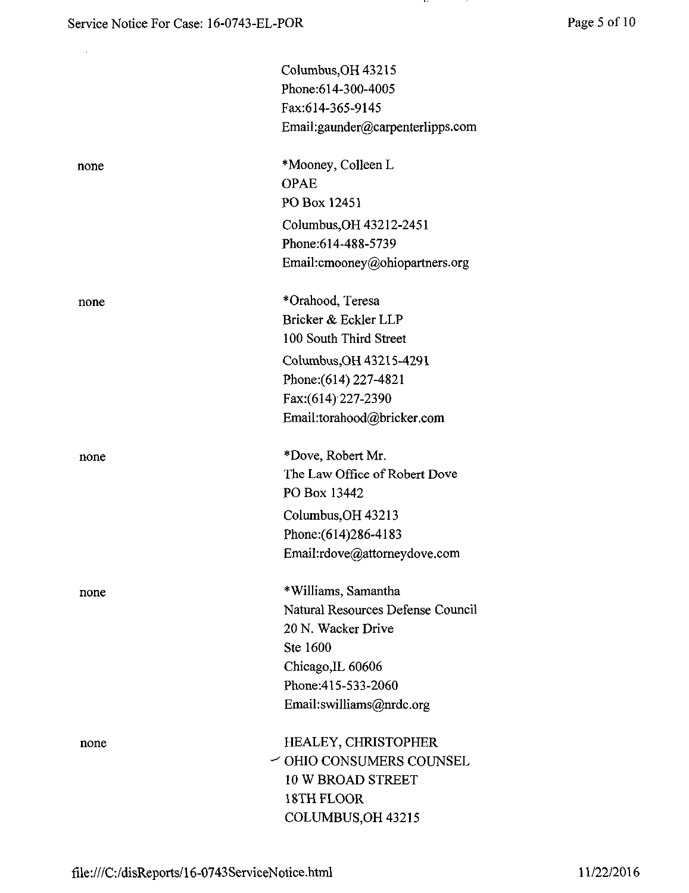| Page 5 of 10 |  |  |
|--------------|--|--|
|--------------|--|--|

 $\ddot{\phantom{a}}$ 

|      | Columbus, OH 43215                |
|------|-----------------------------------|
|      | Phone: 614-300-4005               |
|      | Fax:614-365-9145                  |
|      | Email:gaunder@carpenterlipps.com  |
| none | *Mooney, Colleen L                |
|      | <b>OPAE</b>                       |
|      | PO Box 12451                      |
|      | Columbus, OH 43212-2451           |
|      | Phone: 614-488-5739               |
|      | Email: cmooney@ohiopartners.org   |
| none | *Orahood, Teresa                  |
|      | Bricker & Eckler LLP              |
|      | 100 South Third Street            |
|      | Columbus, OH 43215-4291           |
|      | Phone: (614) 227-4821             |
|      | Fax:(614) 227-2390                |
|      | Email:torahood@bricker.com        |
| none | *Dove, Robert Mr.                 |
|      | The Law Office of Robert Dove     |
|      | PO Box 13442                      |
|      | Columbus, OH 43213                |
|      | Phone: (614) 286-4183             |
|      | Email:rdove@attorneydove.com      |
| none | *Williams, Samantha               |
|      | Natural Resources Defense Council |
|      | 20 N. Wacker Drive                |
|      | Ste 1600                          |
|      | Chicago, IL 60606                 |
|      | Phone: 415-533-2060               |
|      | Email:swilliams@nrdc.org          |
| none | <b>HEALEY, CHRISTOPHER</b>        |
|      | $\sim$ OHIO CONSUMERS COUNSEL     |
|      | <b>10 W BROAD STREET</b>          |
|      | <b>18TH FLOOR</b>                 |
|      | COLUMBUS, OH 43215                |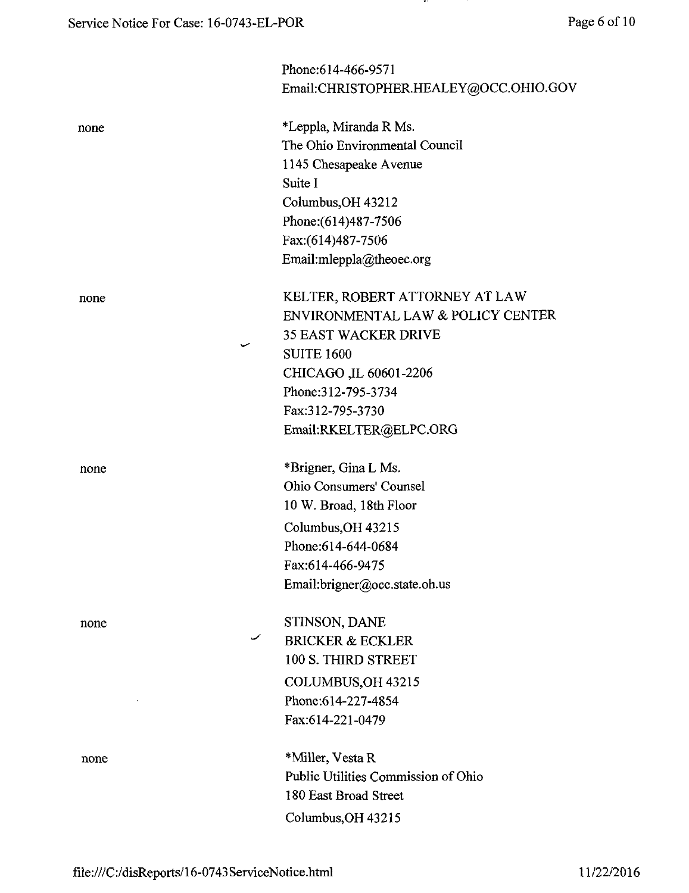|      | Phone:614-466-9571                    |
|------|---------------------------------------|
|      | Email:CHRISTOPHER.HEALEY@OCC.OHIO.GOV |
| none | *Leppla, Miranda R Ms.                |
|      | The Ohio Environmental Council        |
|      | 1145 Chesapeake Avenue                |
|      | Suite I                               |
|      | Columbus, OH 43212                    |
|      | Phone: (614) 487-7506                 |
|      | Fax: (614) 487-7506                   |
|      | Email:mleppla@theoec.org              |
| none | KELTER, ROBERT ATTORNEY AT LAW        |
|      | ENVIRONMENTAL LAW & POLICY CENTER     |
|      | <b>35 EAST WACKER DRIVE</b>           |
|      | <b>SUITE 1600</b>                     |
|      | CHICAGO ,IL 60601-2206                |
|      | Phone: 312-795-3734                   |
|      | Fax:312-795-3730                      |
|      | Email:RKELTER@ELPC.ORG                |
| none | *Brigner, Gina L Ms.                  |
|      | <b>Ohio Consumers' Counsel</b>        |
|      | 10 W. Broad, 18th Floor               |
|      | Columbus, OH 43215                    |
|      | Phone:614-644-0684                    |
|      | Fax:614-466-9475                      |
|      | Email:brigner@occ.state.oh.us         |
| none | STINSON, DANE                         |
| ✓    | <b>BRICKER &amp; ECKLER</b>           |
|      | 100 S. THIRD STREET                   |
|      | COLUMBUS, OH 43215                    |
|      | Phone:614-227-4854                    |
|      | Fax:614-221-0479                      |
| none | *Miller, Vesta R                      |
|      | Public Utilities Commission of Ohio   |
|      | 180 East Broad Street                 |
|      | Columbus, OH 43215                    |
|      |                                       |

 $\cdots$ 

- 11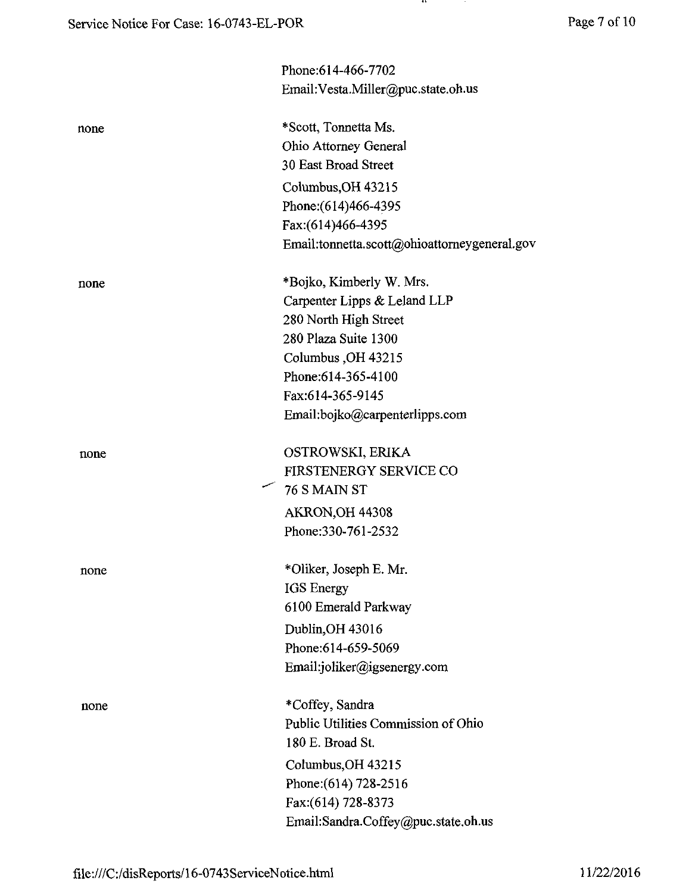$\ddot{\phantom{a}}$ 

 $\sim$ 

|      | Phone: 614-466-7702                          |
|------|----------------------------------------------|
|      | Email: Vesta. Miller@puc.state.oh.us         |
| none | *Scott, Tonnetta Ms.                         |
|      | Ohio Attorney General                        |
|      | 30 East Broad Street                         |
|      | Columbus, OH 43215                           |
|      | Phone: (614) 466-4395                        |
|      | Fax:(614)466-4395                            |
|      | Email:tonnetta.scott@ohioattorneygeneral.gov |
| none | *Bojko, Kimberly W. Mrs.                     |
|      | Carpenter Lipps & Leland LLP                 |
|      | 280 North High Street                        |
|      | 280 Plaza Suite 1300                         |
|      | Columbus, OH 43215                           |
|      | Phone: 614-365-4100                          |
|      | Fax:614-365-9145                             |
|      | Email:bojko@carpenterlipps.com               |
| none | OSTROWSKI, ERIKA                             |
|      | FIRSTENERGY SERVICE CO                       |
|      | $-76$ S MAIN ST                              |
|      | AKRON, OH 44308                              |
|      | Phone: 330-761-2532                          |
| none | *Oliker, Joseph E. Mr.                       |
|      | <b>IGS</b> Energy                            |
|      | 6100 Emerald Parkway                         |
|      | Dublin, OH 43016                             |
|      | Phone:614-659-5069                           |
|      | Email:joliker@igsenergy.com                  |
| none | *Coffey, Sandra                              |
|      | Public Utilities Commission of Ohio          |
|      | 180 E. Broad St.                             |
|      | Columbus, OH 43215                           |
|      | Phone: (614) 728-2516                        |
|      | Fax:(614) 728-8373                           |
|      | Email:Sandra.Coffey@puc.state.oh.us          |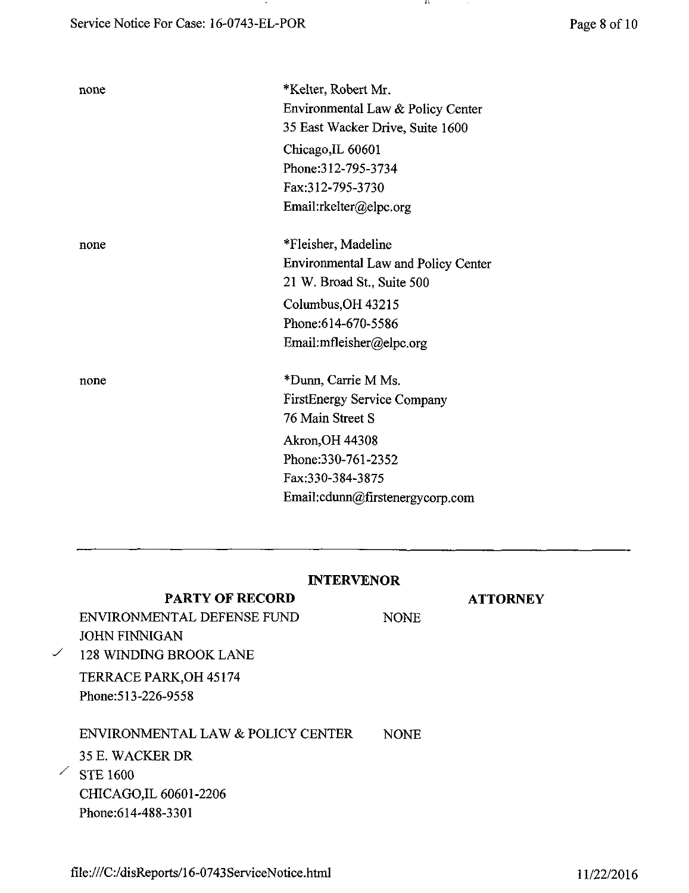| Page 8 of 10 |
|--------------|
|--------------|

| none | *Kelter, Robert Mr.<br>Environmental Law & Policy Center |
|------|----------------------------------------------------------|
|      | 35 East Wacker Drive, Suite 1600                         |
|      | Chicago, IL 60601                                        |
|      | Phone: 312-795-3734                                      |
|      | Fax:312-795-3730                                         |
|      | Email:rkelter@elpc.org                                   |
| none | *Fleisher, Madeline                                      |
|      | <b>Environmental Law and Policy Center</b>               |
|      | 21 W. Broad St., Suite 500                               |
|      | Columbus, OH 43215                                       |
|      | Phone: 614-670-5586                                      |
|      | Email:mfleisher@elpc.org                                 |
| none | *Dunn, Carrie M Ms.                                      |
|      | <b>FirstEnergy Service Company</b>                       |
|      | 76 Main Street S                                         |
|      | <b>Akron, OH 44308</b>                                   |
|      | Phone: 330-761-2352                                      |
|      | Fax:330-384-3875                                         |
|      | Email:cdunn@firstenergycorp.com                          |
|      |                                                          |

### INTERVENOR

# PARTY OF RECORD

#### **ATTORNEY**

ENVIRONMENTAL DEFENSE FUND JOHN FINNIGAN  $\times$  128 WINDING BROOK LANE

> TERRACE PARK,OH 45174 Phone:513-226-9558

ENVIRONMENTAL LAW & POLICY CENTER

NONE

NONE

 $\mathbf{1}$ 

35 E. WACKER DR  $\angle$  STE 1600 CHICAGO,IL 60601-2206 Phone:614-488-3301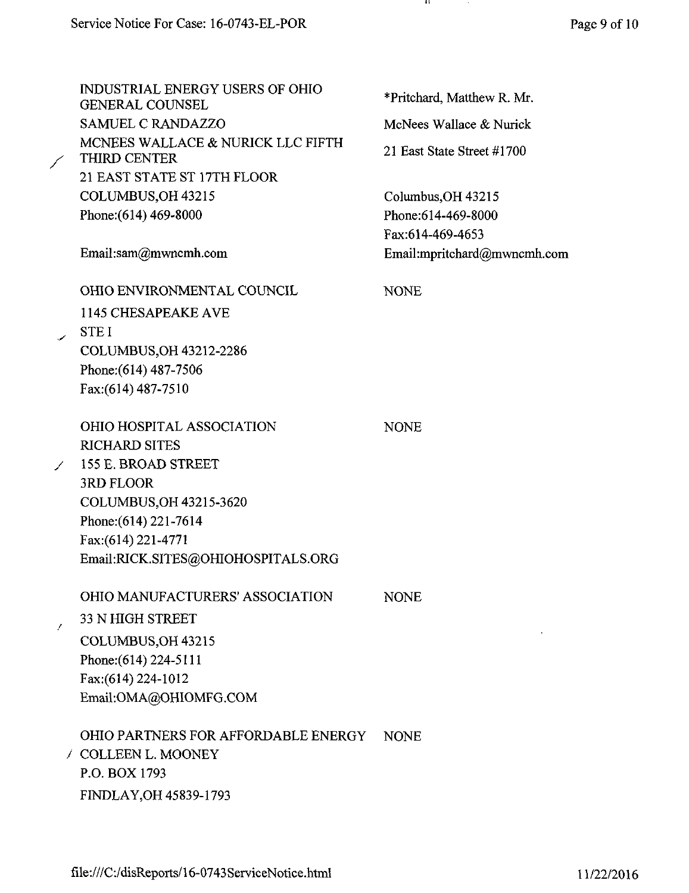INDUSTRIAL ENERGY USERS OF OHIO GENERAL COUNSEL SAMUEL C RANDAZZO MCNEES WALLACE & NURICK LLC FIFTH THIRD CENTER 21 EAST STATE ST 17TH FLOOR COLUMBUS,OH 43215 Phone: (614) 469-8000 Email:[sam@mwncnih.com](mailto:sam@mwncnih.com) 

OHIO ENVIRONMENTAL COUNCIL 1145 CHESAPEAKE AVE

STE I COLUMBUS,OH 43212-2286 Phone:(614)487-7506 Fax:(614)487-7510

OHIO HOSPITAL ASSOCIATION RICHARD SITES y 155 E. BROAD STREET 3RD FLOOR COLUMBUS,OH 43215-3620 Phone:(614) 221-7614 Fax:(614)221-4771 Email:[RICK.SITES@OHIOHOSPITALS.ORG](mailto:RICK.SITES@OHIOHOSPITALS.ORG) 

OHIO MANUFACTURERS' ASSOCIATION 33 N HIGH STREET COLUMBUS,OH 43215 Phone:(614)224-5111 NONE

Fax:(614)224-1012 Email:[OMA@OHIOMFG.COM](mailto:OMA@OHIOMFG.COM) 

 $\boldsymbol{f}$ 

OHIO PARTNERS FOR AFFORDABLE ENERGY / COLLEEN L. MOONEY P.O. BOX 1793 FINDLAY,OH 45839-1793 NONE

\*Pritchard, Matthew R. Mr. McNees Wallace & Nurick 21 East State Street #1700

Columbus,OH 43215 Phone:614-469-8000 Fax:614-469-4653 Email [:mpritchard@mwncmh.com](mailto:mpritchard@mwncmh.com) 

NONE

NONE